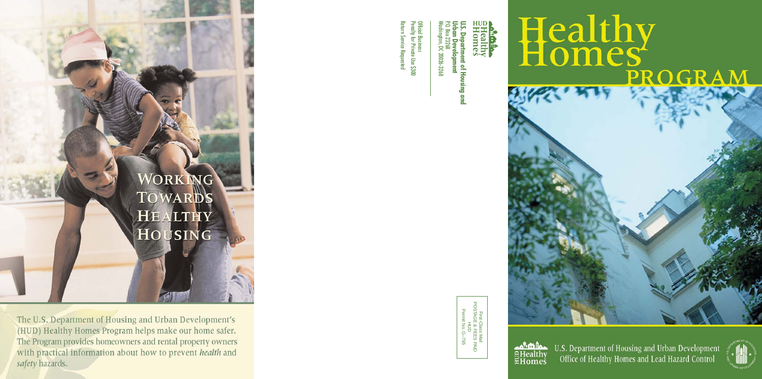P. **Urban Development U.S.** O. Box 23268 **Department of Housing and Department of Housing and**  elopment

Washington, DC 20026-3268

DC 20026-3268

᠆ਹ

Official Business

enalty for Private Use \$300 Return Service Requested

**rn Service Requested** 

icial Business<br>nalty for Private Use \$300

First-Class Mail POSTAGE & FEES PAID

WORK ING **TOWARDS** HEALTHY HOUSING

The U.S. Department of Housing and Urban Development's (HUD) Healthy Homes Program helps make our home safer. The Program provides homeowners and rental property owners with practical information about how to prevent *health* and safety hazards.

# Healthy PROGRA

 $\mathbf{a}$ **EHealthy**<br> **EHomes** 

U.S. Department of Housing and Urban Development Office of Healthy Homes and Lead Hazard Control



HUD G–795 Permit No.